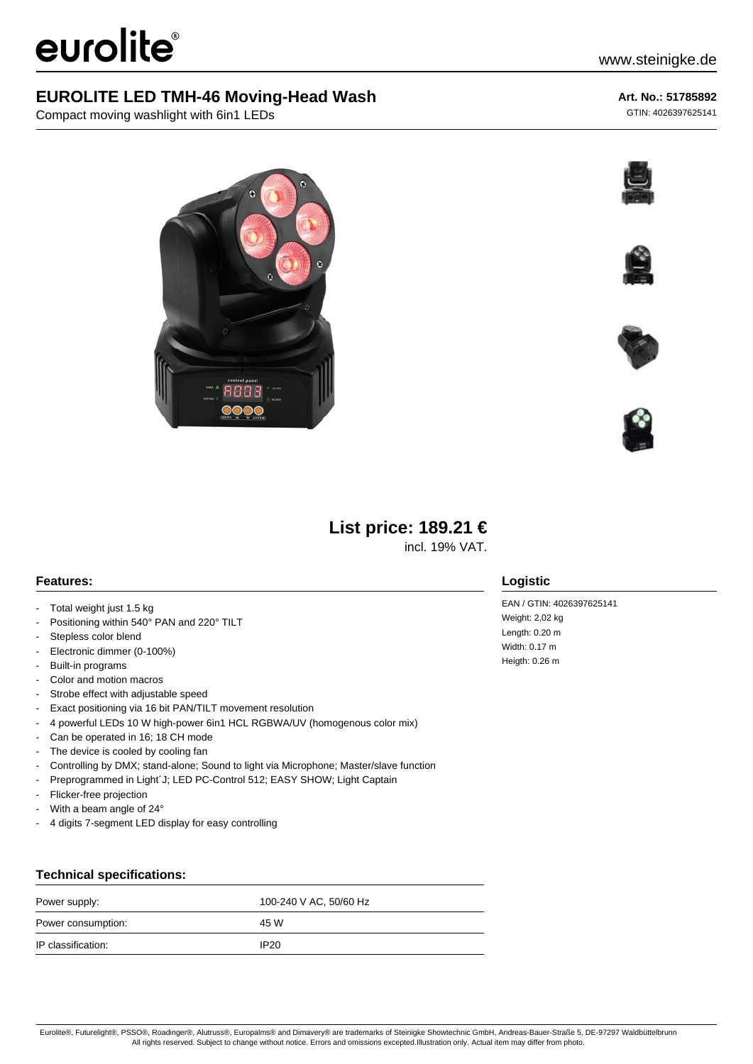# eurolite®

## **EUROLITE LED TMH-46 Moving-Head Wash**

Compact moving washlight with 6in1 LEDs

## **Art. No.: 51785892**

GTIN: 4026397625141











## **List price: 189.21 €**

incl. 19% VAT.

## **Features:**

- Total weight just 1.5 kg
- Positioning within 540° PAN and 220° TILT
- Stepless color blend
- Electronic dimmer (0-100%)
- Built-in programs
- Color and motion macros
- Strobe effect with adjustable speed
- Exact positioning via 16 bit PAN/TILT movement resolution
- 4 powerful LEDs 10 W high-power 6in1 HCL RGBWA/UV (homogenous color mix)
- Can be operated in 16; 18 CH mode
- The device is cooled by cooling fan
- Controlling by DMX; stand-alone; Sound to light via Microphone; Master/slave function
- Preprogrammed in Light'J; LED PC-Control 512; EASY SHOW; Light Captain
- Flicker-free projection
- With a beam angle of 24°
- 4 digits 7-segment LED display for easy controlling

## **Technical specifications:**

| Power supply:      | 100-240 V AC, 50/60 Hz |
|--------------------|------------------------|
| Power consumption: | 45 W                   |
| IP classification: | IP20                   |

## **Logistic**

EAN / GTIN: 4026397625141 Weight: 2,02 kg Length: 0.20 m Width: 0.17 m Heigth: 0.26 m

Eurolite®, Futurelight®, PSSO®, Roadinger®, Alutruss®, Europalms® and Dimavery® are trademarks of Steinigke Showtechnic GmbH, Andreas-Bauer-Straße 5, DE-97297 Waldbüttelbrunn All rights reserved. Subject to change without notice. Errors and omissions excepted.Illustration only. Actual item may differ from photo.